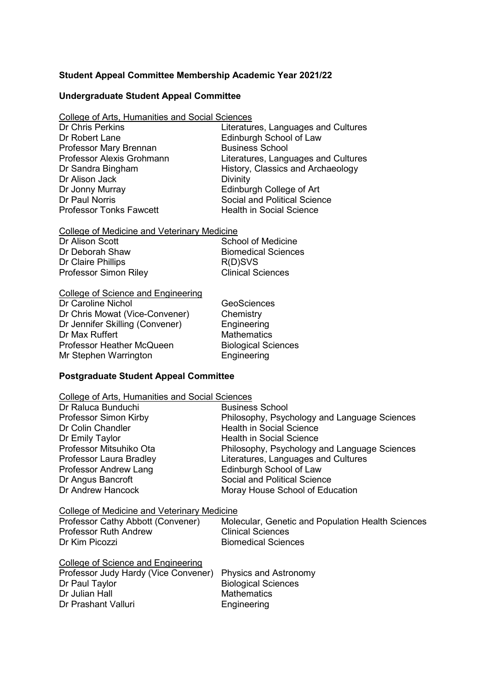## **Student Appeal Committee Membership Academic Year 2021/22**

### **Undergraduate Student Appeal Committee**

College of Arts, Humanities and Social Sciences

| <b>Dr Chris Perkins</b>          |
|----------------------------------|
| Dr Robert Lane                   |
| Professor Mary Brennan           |
| <b>Professor Alexis Grohmann</b> |
| Dr Sandra Bingham                |
| Dr Alison Jack                   |
| Dr Jonny Murray                  |
| Dr Paul Norris                   |
| <b>Professor Tonks Fawcett</b>   |

Literatures, Languages and Cultures Edinburgh School of Law **Business School** Literatures, Languages and Cultures History, Classics and Archaeology Divinity Edinburgh College of Art Social and Political Science **Health in Social Science** 

# College of Medicine and Veterinary Medicine

| Dr Alison Scott       | School of Medicine         |
|-----------------------|----------------------------|
| Dr Deborah Shaw       | <b>Biomedical Sciences</b> |
| Dr Claire Phillips    | R(D)SVS                    |
| Professor Simon Riley | <b>Clinical Sciences</b>   |

### College of Science and Engineering

Dr Caroline Nichol GeoSciences Dr Chris Mowat (Vice-Convener) Chemistry Dr Jennifer Skilling (Convener) Engineering<br>Dr Max Ruffert Mathematics Dr Max Ruffert **Mathematics**<br>
Professor Heather McQueen Biological Sciences Professor Heather McQueen<br>
Mr Stephen Warrington<br>
Engineering Mr Stephen Warrington

## **Postgraduate Student Appeal Committee**

| College of Arts, Humanities and Social Sciences |                                                   |  |
|-------------------------------------------------|---------------------------------------------------|--|
| Dr Raluca Bunduchi                              | <b>Business School</b>                            |  |
| <b>Professor Simon Kirby</b>                    | Philosophy, Psychology and Language Sciences      |  |
| Dr Colin Chandler                               | <b>Health in Social Science</b>                   |  |
| Dr Emily Taylor                                 | Health in Social Science                          |  |
| Professor Mitsuhiko Ota                         | Philosophy, Psychology and Language Sciences      |  |
| Professor Laura Bradley                         | Literatures, Languages and Cultures               |  |
| Professor Andrew Lang                           | Edinburgh School of Law                           |  |
| Dr Angus Bancroft                               | <b>Social and Political Science</b>               |  |
| Dr Andrew Hancock                               | Moray House School of Education                   |  |
| College of Medicine and Veterinary Medicine     |                                                   |  |
| Professor Cathy Abbott (Convener)               | Molecular, Genetic and Population Health Sciences |  |
| <b>Professor Ruth Andrew</b>                    | <b>Clinical Sciences</b>                          |  |
| Dr Kim Picozzi                                  | <b>Biomedical Sciences</b>                        |  |
| <b>College of Science and Engineering</b>       |                                                   |  |
| Professor Judy Hardy (Vice Convener)            | <b>Physics and Astronomy</b>                      |  |
| Dr Paul Taylor                                  | <b>Biological Sciences</b>                        |  |
| Dr Julian Hall                                  | <b>Mathematics</b>                                |  |
| Dr Prashant Valluri                             | Engineering                                       |  |